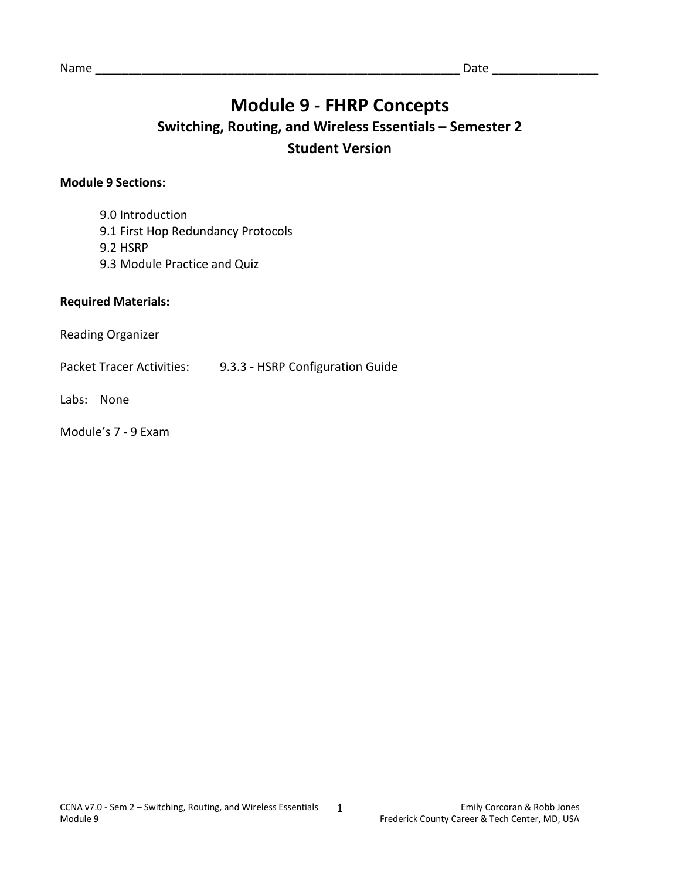# **Module 9 - FHRP Concepts Switching, Routing, and Wireless Essentials – Semester 2 Student Version**

#### **Module 9 Sections:**

9.0 Introduction

9.1 First Hop Redundancy Protocols

9.2 HSRP

9.3 Module Practice and Quiz

### **Required Materials:**

Reading Organizer

Packet Tracer Activities: 9.3.3 - HSRP Configuration Guide

Labs: None

Module's 7 - 9 Exam

1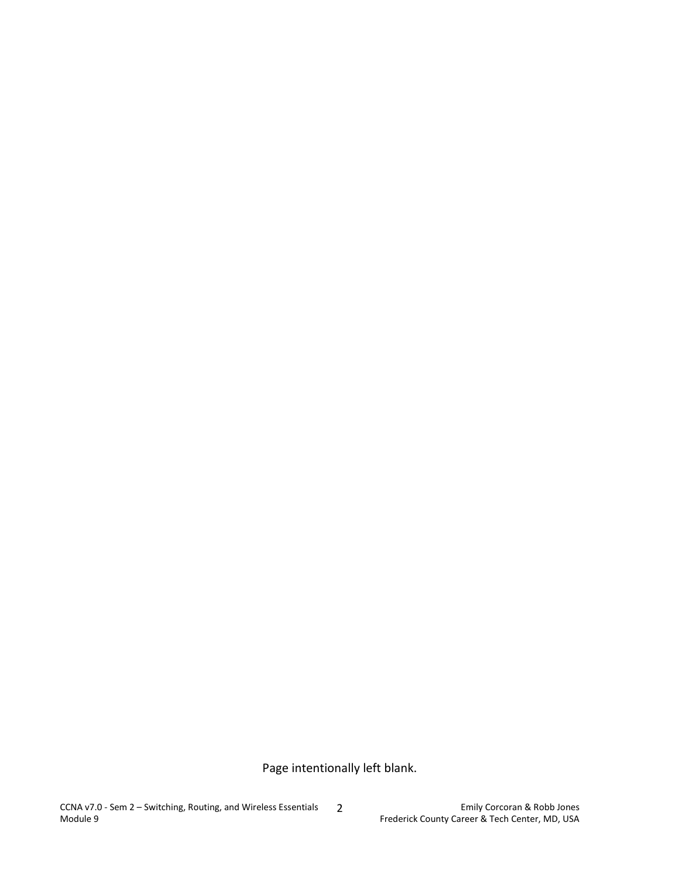## Page intentionally left blank.

2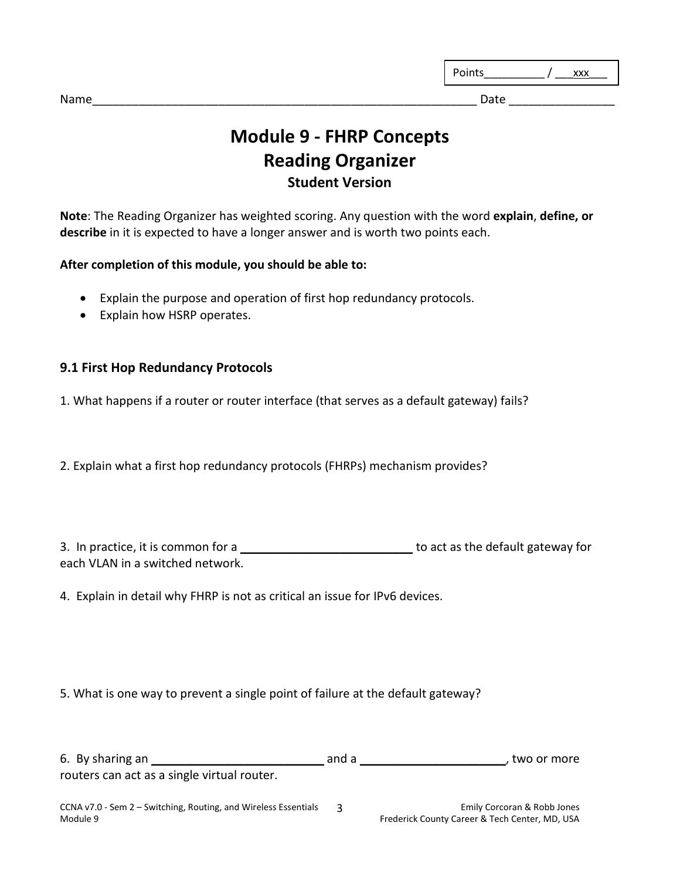| Points | {XX |
|--------|-----|
|--------|-----|

# **Module 9 - FHRP Concepts Reading Organizer Student Version**

**Note**: The Reading Organizer has weighted scoring. Any question with the word **explain**, **define, or describe** in it is expected to have a longer answer and is worth two points each.

## **After completion of this module, you should be able to:**

- Explain the purpose and operation of first hop redundancy protocols.
- Explain how HSRP operates.

# **9.1 First Hop Redundancy Protocols**

1. What happens if a router or router interface (that serves as a default gateway) fails?

2. Explain what a first hop redundancy protocols (FHRPs) mechanism provides?

3. In practice, it is common for a \_\_\_\_\_\_\_\_\_\_\_\_\_\_\_\_\_\_\_\_\_\_\_\_\_\_\_\_\_\_\_\_\_ to act as the default gateway for each VLAN in a switched network.

- 4. Explain in detail why FHRP is not as critical an issue for IPv6 devices.
- 5. What is one way to prevent a single point of failure at the default gateway?

| 6. By sharing an | and a                                       | two or more |
|------------------|---------------------------------------------|-------------|
|                  | routers can act as a single virtual router. |             |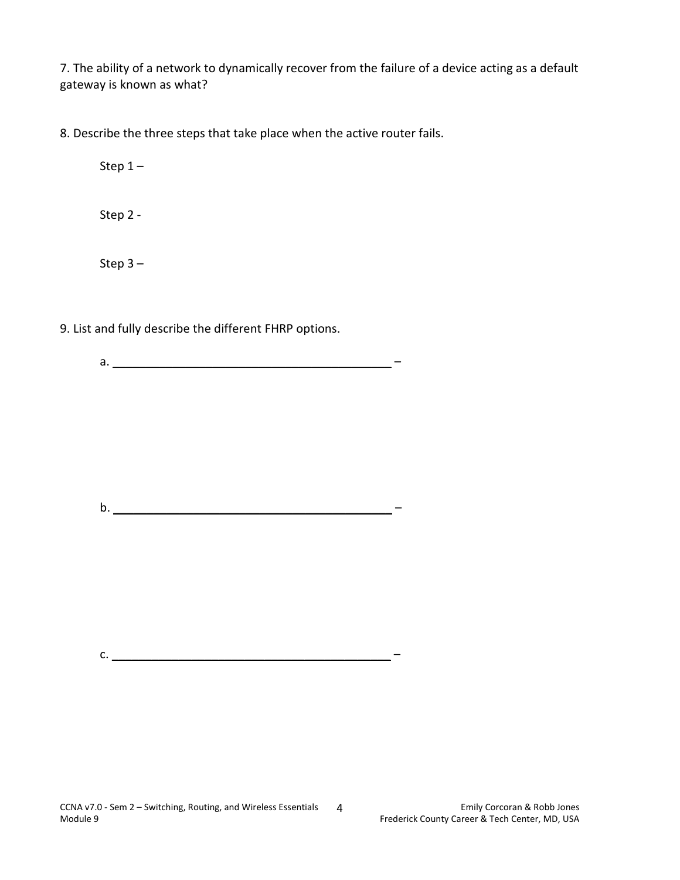7. The ability of a network to dynamically recover from the failure of a device acting as a default gateway is known as what?

8. Describe the three steps that take place when the active router fails.

Step  $1 -$ 

Step 2 -

Step 3 –

9. List and fully describe the different FHRP options.

a.  $\frac{1}{2}$  –  $\frac{1}{2}$  –  $\frac{1}{2}$  –  $\frac{1}{2}$  –  $\frac{1}{2}$  –  $\frac{1}{2}$  –  $\frac{1}{2}$  –  $\frac{1}{2}$  –  $\frac{1}{2}$  –  $\frac{1}{2}$  –  $\frac{1}{2}$  –  $\frac{1}{2}$  –  $\frac{1}{2}$  –  $\frac{1}{2}$  –  $\frac{1}{2}$  –  $\frac{1}{2}$  –  $\frac{1}{2}$  –  $\frac{1}{2}$  –  $\$ b. \_\_\_\_\_\_\_\_\_\_\_\_\_\_\_\_\_\_\_\_\_\_\_\_\_\_\_\_\_\_\_\_\_\_\_\_\_\_\_\_\_\_ – c.  $\frac{1}{2}$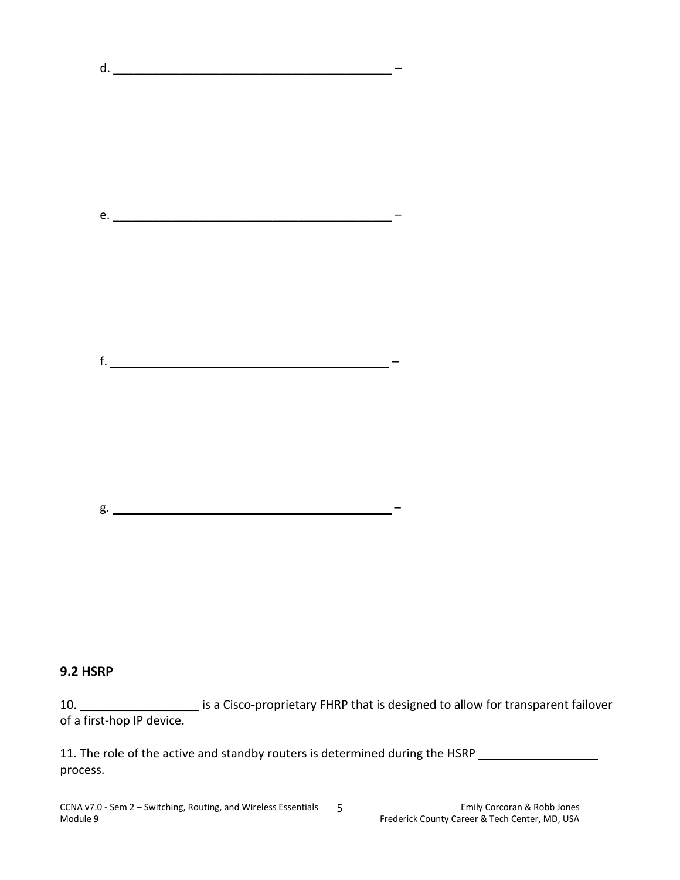| e.                            |  |  |  |
|-------------------------------|--|--|--|
|                               |  |  |  |
|                               |  |  |  |
|                               |  |  |  |
|                               |  |  |  |
|                               |  |  |  |
|                               |  |  |  |
|                               |  |  |  |
|                               |  |  |  |
|                               |  |  |  |
|                               |  |  |  |
|                               |  |  |  |
|                               |  |  |  |
| $g.$ $\overline{\phantom{a}}$ |  |  |  |

 $d.$ 

### **9.2 HSRP**

10. \_\_\_\_\_\_\_\_\_\_\_\_\_\_\_\_\_\_ is a Cisco-proprietary FHRP that is designed to allow for transparent failover of a first-hop IP device.

11. The role of the active and standby routers is determined during the HSRP \_\_\_\_\_\_\_\_\_\_\_\_\_\_\_\_\_\_\_\_\_\_\_ process.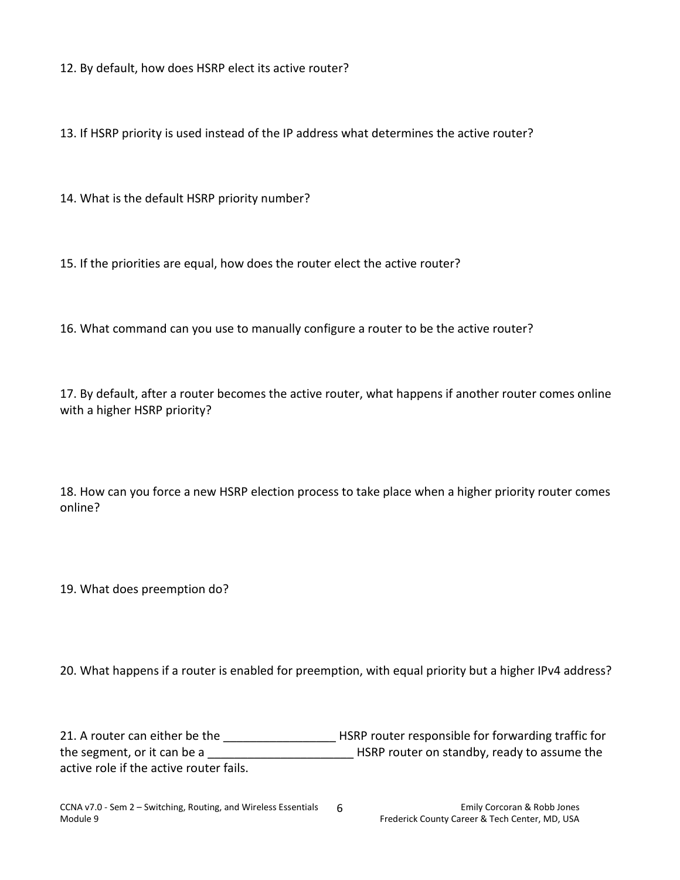12. By default, how does HSRP elect its active router?

13. If HSRP priority is used instead of the IP address what determines the active router?

14. What is the default HSRP priority number?

15. If the priorities are equal, how does the router elect the active router?

16. What command can you use to manually configure a router to be the active router?

17. By default, after a router becomes the active router, what happens if another router comes online with a higher HSRP priority?

18. How can you force a new HSRP election process to take place when a higher priority router comes online?

19. What does preemption do?

20. What happens if a router is enabled for preemption, with equal priority but a higher IPv4 address?

21. A router can either be the \_\_\_\_\_\_\_\_\_\_\_\_\_\_\_\_\_\_\_\_\_\_\_HSRP router responsible for forwarding traffic for the segment, or it can be a \_\_\_\_\_\_\_\_\_\_\_\_\_\_\_\_\_\_\_\_\_\_ HSRP router on standby, ready to assume the active role if the active router fails.